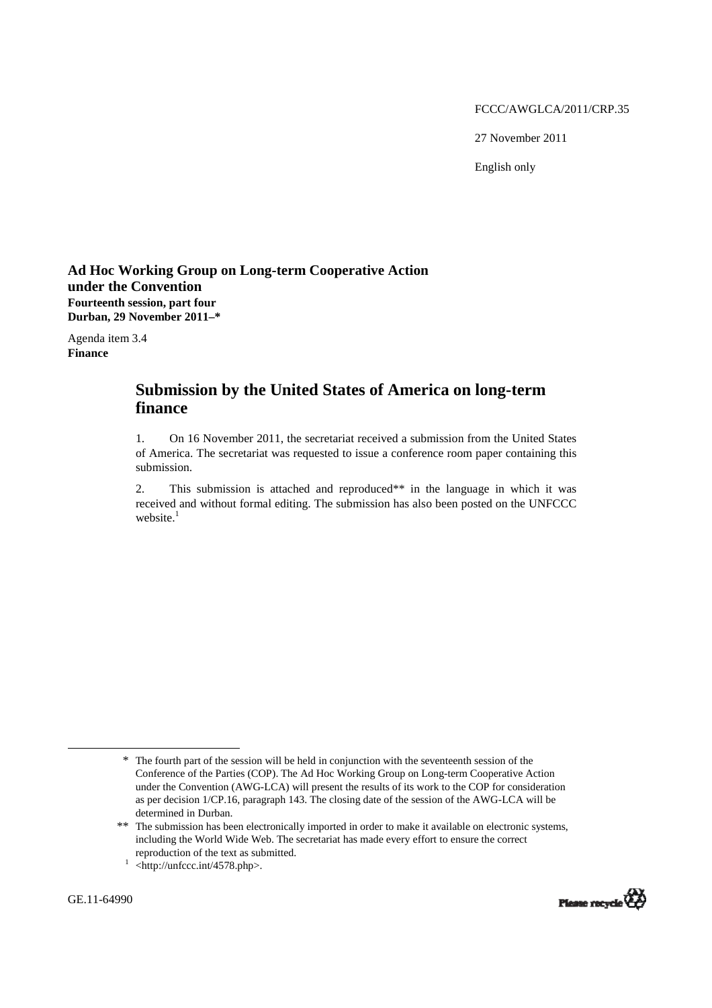#### FCCC/AWGLCA/2011/CRP.35

27 November 2011

English only

## **Ad Hoc Working Group on Long-term Cooperative Action under the Convention Fourteenth session, part four Durban, 29 November 2011–\***

Agenda item 3.4 **Finance** 

# **Submission by the United States of America on long-term finance**

1. On 16 November 2011, the secretariat received a submission from the United States of America. The secretariat was requested to issue a conference room paper containing this submission.

2. This submission is attached and reproduced\*\* in the language in which it was received and without formal editing. The submission has also been posted on the UNFCCC website.<sup>1</sup>

 $\overline{a}$ 



<sup>\*</sup> The fourth part of the session will be held in conjunction with the seventeenth session of the Conference of the Parties (COP). The Ad Hoc Working Group on Long-term Cooperative Action under the Convention (AWG-LCA) will present the results of its work to the COP for consideration as per decision 1/CP.16, paragraph 143. The closing date of the session of the AWG-LCA will be determined in Durban.

<sup>\*\*</sup> The submission has been electronically imported in order to make it available on electronic systems, including the World Wide Web. The secretariat has made every effort to ensure the correct reproduction of the text as submitted.<br> $\frac{1}{1}$  <http://unfccc.int/4578.php>.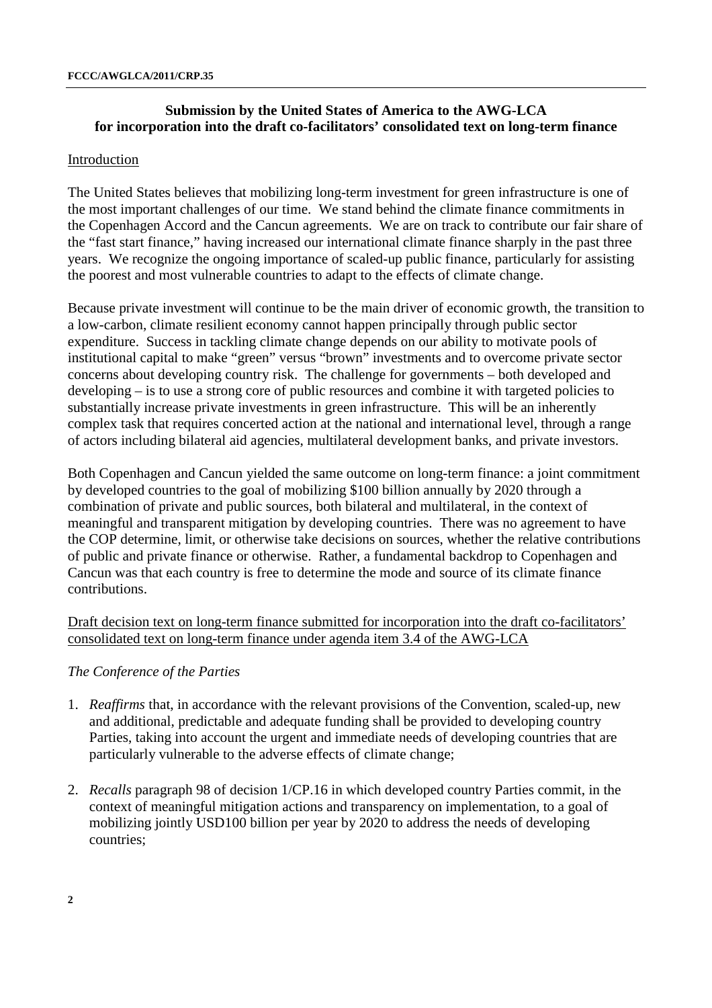## **Submission by the United States of America to the AWG-LCA for incorporation into the draft co-facilitators' consolidated text on long-term finance**

## Introduction

The United States believes that mobilizing long-term investment for green infrastructure is one of the most important challenges of our time. We stand behind the climate finance commitments in the Copenhagen Accord and the Cancun agreements. We are on track to contribute our fair share of the "fast start finance," having increased our international climate finance sharply in the past three years. We recognize the ongoing importance of scaled-up public finance, particularly for assisting the poorest and most vulnerable countries to adapt to the effects of climate change.

Because private investment will continue to be the main driver of economic growth, the transition to a low-carbon, climate resilient economy cannot happen principally through public sector expenditure. Success in tackling climate change depends on our ability to motivate pools of institutional capital to make "green" versus "brown" investments and to overcome private sector concerns about developing country risk. The challenge for governments – both developed and developing – is to use a strong core of public resources and combine it with targeted policies to substantially increase private investments in green infrastructure. This will be an inherently complex task that requires concerted action at the national and international level, through a range of actors including bilateral aid agencies, multilateral development banks, and private investors.

Both Copenhagen and Cancun yielded the same outcome on long-term finance: a joint commitment by developed countries to the goal of mobilizing \$100 billion annually by 2020 through a combination of private and public sources, both bilateral and multilateral, in the context of meaningful and transparent mitigation by developing countries. There was no agreement to have the COP determine, limit, or otherwise take decisions on sources, whether the relative contributions of public and private finance or otherwise. Rather, a fundamental backdrop to Copenhagen and Cancun was that each country is free to determine the mode and source of its climate finance contributions.

Draft decision text on long-term finance submitted for incorporation into the draft co-facilitators' consolidated text on long-term finance under agenda item 3.4 of the AWG-LCA

## *The Conference of the Parties*

- 1. *Reaffirms* that, in accordance with the relevant provisions of the Convention, scaled-up, new and additional, predictable and adequate funding shall be provided to developing country Parties, taking into account the urgent and immediate needs of developing countries that are particularly vulnerable to the adverse effects of climate change;
- 2. *Recalls* paragraph 98 of decision 1/CP.16 in which developed country Parties commit, in the context of meaningful mitigation actions and transparency on implementation, to a goal of mobilizing jointly USD100 billion per year by 2020 to address the needs of developing countries;